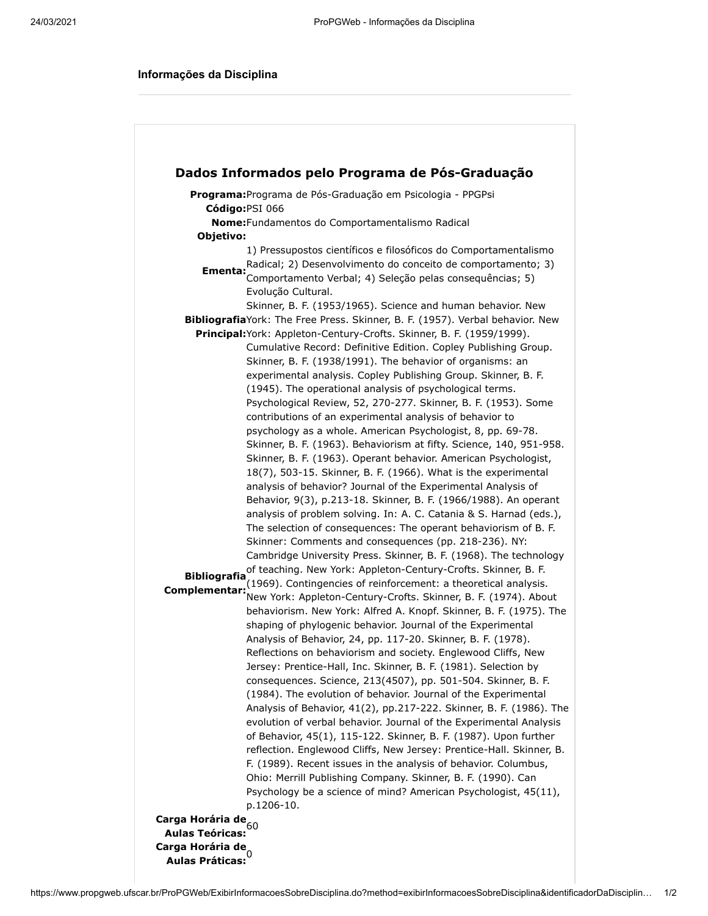## **Informações da Disciplina**

|                                      | Programa: Programa de Pós-Graduação em Psicologia - PPGPsi                                                                                                                                                                                                                                                                                                                                                                                                                                                                                                                                                                                                                                                                                                                                                                                                                                                                                                                                                                                                                                                                                                                                                                                                                                                                                                                                                                                                                                                                                                                                                                                                                                                                                                                                                                                                                                                                                                                                                                                                                                                                                                                                                                                                         |
|--------------------------------------|--------------------------------------------------------------------------------------------------------------------------------------------------------------------------------------------------------------------------------------------------------------------------------------------------------------------------------------------------------------------------------------------------------------------------------------------------------------------------------------------------------------------------------------------------------------------------------------------------------------------------------------------------------------------------------------------------------------------------------------------------------------------------------------------------------------------------------------------------------------------------------------------------------------------------------------------------------------------------------------------------------------------------------------------------------------------------------------------------------------------------------------------------------------------------------------------------------------------------------------------------------------------------------------------------------------------------------------------------------------------------------------------------------------------------------------------------------------------------------------------------------------------------------------------------------------------------------------------------------------------------------------------------------------------------------------------------------------------------------------------------------------------------------------------------------------------------------------------------------------------------------------------------------------------------------------------------------------------------------------------------------------------------------------------------------------------------------------------------------------------------------------------------------------------------------------------------------------------------------------------------------------------|
|                                      | Código: PSI 066                                                                                                                                                                                                                                                                                                                                                                                                                                                                                                                                                                                                                                                                                                                                                                                                                                                                                                                                                                                                                                                                                                                                                                                                                                                                                                                                                                                                                                                                                                                                                                                                                                                                                                                                                                                                                                                                                                                                                                                                                                                                                                                                                                                                                                                    |
|                                      | Nome: Fundamentos do Comportamentalismo Radical                                                                                                                                                                                                                                                                                                                                                                                                                                                                                                                                                                                                                                                                                                                                                                                                                                                                                                                                                                                                                                                                                                                                                                                                                                                                                                                                                                                                                                                                                                                                                                                                                                                                                                                                                                                                                                                                                                                                                                                                                                                                                                                                                                                                                    |
| Objetivo:                            |                                                                                                                                                                                                                                                                                                                                                                                                                                                                                                                                                                                                                                                                                                                                                                                                                                                                                                                                                                                                                                                                                                                                                                                                                                                                                                                                                                                                                                                                                                                                                                                                                                                                                                                                                                                                                                                                                                                                                                                                                                                                                                                                                                                                                                                                    |
| Ementa:                              | 1) Pressupostos científicos e filosóficos do Comportamentalismo<br>Radical; 2) Desenvolvimento do conceito de comportamento; 3)<br>Comportamento Verbal; 4) Seleção pelas consequências; 5)<br>Evolução Cultural.<br>Skinner, B. F. (1953/1965). Science and human behavior. New                                                                                                                                                                                                                                                                                                                                                                                                                                                                                                                                                                                                                                                                                                                                                                                                                                                                                                                                                                                                                                                                                                                                                                                                                                                                                                                                                                                                                                                                                                                                                                                                                                                                                                                                                                                                                                                                                                                                                                                   |
|                                      | BibliografiaYork: The Free Press. Skinner, B. F. (1957). Verbal behavior. New                                                                                                                                                                                                                                                                                                                                                                                                                                                                                                                                                                                                                                                                                                                                                                                                                                                                                                                                                                                                                                                                                                                                                                                                                                                                                                                                                                                                                                                                                                                                                                                                                                                                                                                                                                                                                                                                                                                                                                                                                                                                                                                                                                                      |
|                                      | Principal: York: Appleton-Century-Crofts. Skinner, B. F. (1959/1999).                                                                                                                                                                                                                                                                                                                                                                                                                                                                                                                                                                                                                                                                                                                                                                                                                                                                                                                                                                                                                                                                                                                                                                                                                                                                                                                                                                                                                                                                                                                                                                                                                                                                                                                                                                                                                                                                                                                                                                                                                                                                                                                                                                                              |
| <b>Bibliografia</b><br>Complementar: | Cumulative Record: Definitive Edition. Copley Publishing Group.<br>Skinner, B. F. (1938/1991). The behavior of organisms: an<br>experimental analysis. Copley Publishing Group. Skinner, B. F.<br>(1945). The operational analysis of psychological terms.<br>Psychological Review, 52, 270-277. Skinner, B. F. (1953). Some<br>contributions of an experimental analysis of behavior to<br>psychology as a whole. American Psychologist, 8, pp. 69-78.<br>Skinner, B. F. (1963). Behaviorism at fifty. Science, 140, 951-958.<br>Skinner, B. F. (1963). Operant behavior. American Psychologist,<br>18(7), 503-15. Skinner, B. F. (1966). What is the experimental<br>analysis of behavior? Journal of the Experimental Analysis of<br>Behavior, 9(3), p.213-18. Skinner, B. F. (1966/1988). An operant<br>analysis of problem solving. In: A. C. Catania & S. Harnad (eds.),<br>The selection of consequences: The operant behaviorism of B. F.<br>Skinner: Comments and consequences (pp. 218-236). NY:<br>Cambridge University Press. Skinner, B. F. (1968). The technology<br>of teaching. New York: Appleton-Century-Crofts. Skinner, B. F.<br>(1969). Contingencies of reinforcement: a theoretical analysis.<br>New York: Appleton-Century-Crofts. Skinner, B. F. (1974). About<br>behaviorism. New York: Alfred A. Knopf. Skinner, B. F. (1975). The<br>shaping of phylogenic behavior. Journal of the Experimental<br>Analysis of Behavior, 24, pp. 117-20. Skinner, B. F. (1978).<br>Reflections on behaviorism and society. Englewood Cliffs, New<br>Jersey: Prentice-Hall, Inc. Skinner, B. F. (1981). Selection by<br>consequences. Science, 213(4507), pp. 501-504. Skinner, B. F.<br>(1984). The evolution of behavior. Journal of the Experimental<br>Analysis of Behavior, 41(2), pp.217-222. Skinner, B. F. (1986). The<br>evolution of verbal behavior. Journal of the Experimental Analysis<br>of Behavior, 45(1), 115-122. Skinner, B. F. (1987). Upon further<br>reflection. Englewood Cliffs, New Jersey: Prentice-Hall. Skinner, B.<br>F. (1989). Recent issues in the analysis of behavior. Columbus,<br>Ohio: Merrill Publishing Company. Skinner, B. F. (1990). Can<br>Psychology be a science of mind? American Psychologist, 45(11), |
|                                      | p.1206-10.                                                                                                                                                                                                                                                                                                                                                                                                                                                                                                                                                                                                                                                                                                                                                                                                                                                                                                                                                                                                                                                                                                                                                                                                                                                                                                                                                                                                                                                                                                                                                                                                                                                                                                                                                                                                                                                                                                                                                                                                                                                                                                                                                                                                                                                         |
| Carga Horária de                     |                                                                                                                                                                                                                                                                                                                                                                                                                                                                                                                                                                                                                                                                                                                                                                                                                                                                                                                                                                                                                                                                                                                                                                                                                                                                                                                                                                                                                                                                                                                                                                                                                                                                                                                                                                                                                                                                                                                                                                                                                                                                                                                                                                                                                                                                    |
| <b>Aulas Teóricas:</b>               | 60                                                                                                                                                                                                                                                                                                                                                                                                                                                                                                                                                                                                                                                                                                                                                                                                                                                                                                                                                                                                                                                                                                                                                                                                                                                                                                                                                                                                                                                                                                                                                                                                                                                                                                                                                                                                                                                                                                                                                                                                                                                                                                                                                                                                                                                                 |
| Carga Horária de                     |                                                                                                                                                                                                                                                                                                                                                                                                                                                                                                                                                                                                                                                                                                                                                                                                                                                                                                                                                                                                                                                                                                                                                                                                                                                                                                                                                                                                                                                                                                                                                                                                                                                                                                                                                                                                                                                                                                                                                                                                                                                                                                                                                                                                                                                                    |
| <b>Aulas Práticas:</b>               |                                                                                                                                                                                                                                                                                                                                                                                                                                                                                                                                                                                                                                                                                                                                                                                                                                                                                                                                                                                                                                                                                                                                                                                                                                                                                                                                                                                                                                                                                                                                                                                                                                                                                                                                                                                                                                                                                                                                                                                                                                                                                                                                                                                                                                                                    |